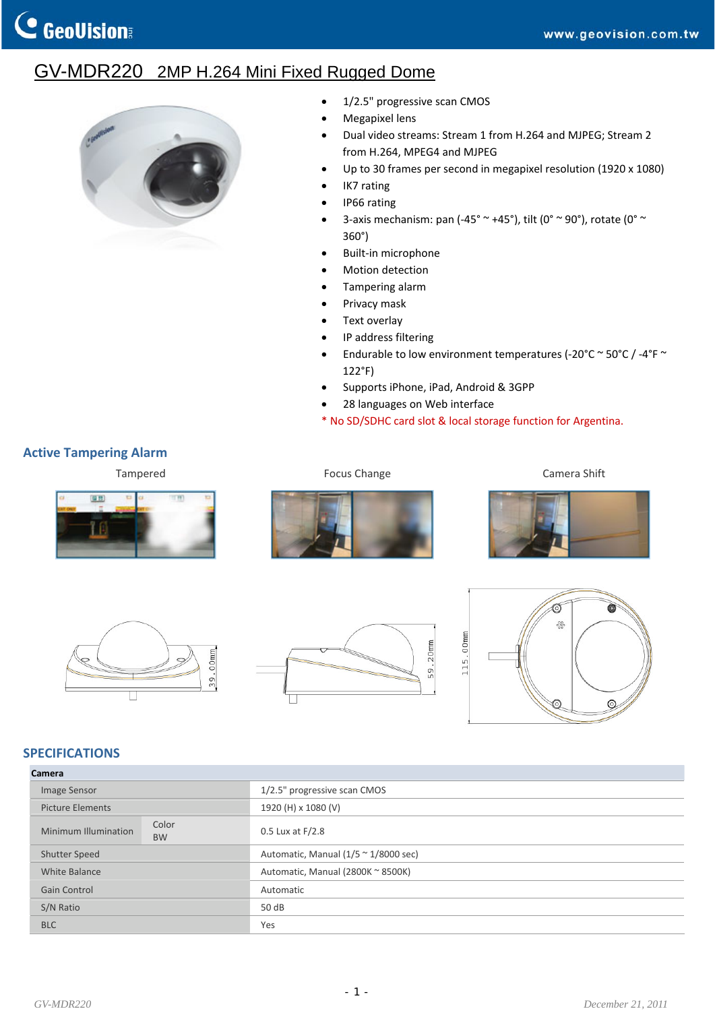## GV-MDR220 2MP H.264 Mini Fixed Rugged Dome



- 1/2.5" progressive scan CMOS
- Megapixel lens
- Dual video streams: Stream 1 from H.264 and MJPEG; Stream 2 from H.264, MPEG4 and MJPEG
- Up to 30 frames per second in megapixel resolution (1920 x 1080)
- IK7 rating
- IP66 rating
- 3-axis mechanism: pan (-45°  $\sim$  +45°), tilt (0°  $\sim$  90°), rotate (0°  $\sim$ 360°)
- Built‐in microphone
- Motion detection
- Tampering alarm
- Privacy mask
- Text overlay
- IP address filtering
- Endurable to low environment temperatures (‐20°C ~ 50°C / ‐4°F ~ 122°F)
- Supports iPhone, iPad, Android & 3GPP
- 28 languages on Web interface
- \* No SD/SDHC card slot & local storage function for Argentina.

## **Active Tampering Alarm**















## **SPECIFICATIONS**

| Camera                                     |                                                      |  |  |  |
|--------------------------------------------|------------------------------------------------------|--|--|--|
| Image Sensor                               | 1/2.5" progressive scan CMOS                         |  |  |  |
| <b>Picture Elements</b>                    | 1920 (H) x 1080 (V)                                  |  |  |  |
| Color<br>Minimum Illumination<br><b>BW</b> | 0.5 Lux at F/2.8                                     |  |  |  |
| <b>Shutter Speed</b>                       | Automatic, Manual $(1/5 \approx 1/8000 \text{ sec})$ |  |  |  |
| White Balance                              | Automatic, Manual (2800K ~ 8500K)                    |  |  |  |
| Gain Control                               | Automatic                                            |  |  |  |
| S/N Ratio                                  | 50 dB                                                |  |  |  |
| <b>BLC</b>                                 | Yes                                                  |  |  |  |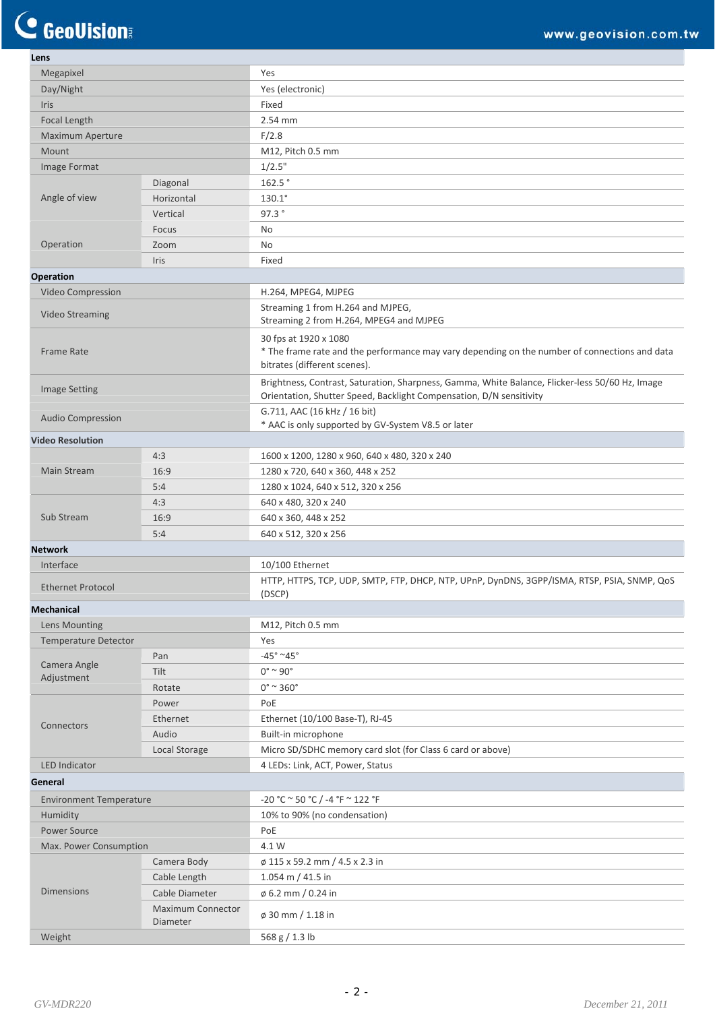C GeoVision

| Lens                           |                                      |                                                                                                                                 |
|--------------------------------|--------------------------------------|---------------------------------------------------------------------------------------------------------------------------------|
| Megapixel                      |                                      | Yes                                                                                                                             |
| Day/Night                      |                                      | Yes (electronic)                                                                                                                |
| <b>Iris</b>                    |                                      | Fixed                                                                                                                           |
| Focal Length                   |                                      | 2.54 mm                                                                                                                         |
| <b>Maximum Aperture</b>        |                                      | F/2.8                                                                                                                           |
| Mount                          |                                      | M12, Pitch 0.5 mm                                                                                                               |
| Image Format                   |                                      | 1/2.5"                                                                                                                          |
|                                | Diagonal                             | 162.5°                                                                                                                          |
| Angle of view                  | Horizontal                           | $130.1^{\circ}$                                                                                                                 |
|                                | Vertical                             | 97.3°                                                                                                                           |
|                                | Focus                                | No                                                                                                                              |
| Operation                      | Zoom                                 | No                                                                                                                              |
|                                | Iris                                 | Fixed                                                                                                                           |
| Operation                      |                                      |                                                                                                                                 |
| Video Compression              |                                      | H.264, MPEG4, MJPEG                                                                                                             |
| <b>Video Streaming</b>         |                                      | Streaming 1 from H.264 and MJPEG,<br>Streaming 2 from H.264, MPEG4 and MJPEG                                                    |
| Frame Rate                     |                                      | 30 fps at 1920 x 1080<br>* The frame rate and the performance may vary depending on the number of connections and data          |
|                                |                                      | bitrates (different scenes).<br>Brightness, Contrast, Saturation, Sharpness, Gamma, White Balance, Flicker-less 50/60 Hz, Image |
| <b>Image Setting</b>           |                                      | Orientation, Shutter Speed, Backlight Compensation, D/N sensitivity<br>G.711, AAC (16 kHz / 16 bit)                             |
| <b>Audio Compression</b>       |                                      | * AAC is only supported by GV-System V8.5 or later                                                                              |
| <b>Video Resolution</b>        |                                      |                                                                                                                                 |
|                                | 4:3                                  | 1600 x 1200, 1280 x 960, 640 x 480, 320 x 240                                                                                   |
| <b>Main Stream</b>             | 16:9                                 | 1280 x 720, 640 x 360, 448 x 252                                                                                                |
|                                | 5:4                                  | 1280 x 1024, 640 x 512, 320 x 256                                                                                               |
|                                | 4:3                                  | 640 x 480, 320 x 240                                                                                                            |
| Sub Stream                     | 16:9                                 | 640 x 360, 448 x 252                                                                                                            |
|                                | 5:4                                  | 640 x 512, 320 x 256                                                                                                            |
| <b>Network</b>                 |                                      |                                                                                                                                 |
| Interface                      |                                      | 10/100 Ethernet                                                                                                                 |
| <b>Ethernet Protocol</b>       |                                      | HTTP, HTTPS, TCP, UDP, SMTP, FTP, DHCP, NTP, UPnP, DynDNS, 3GPP/ISMA, RTSP, PSIA, SNMP, QoS<br>(DSCP)                           |
| <b>Mechanical</b>              |                                      |                                                                                                                                 |
| Lens Mounting                  |                                      | M12, Pitch 0.5 mm                                                                                                               |
| Temperature Detector           |                                      | Yes                                                                                                                             |
|                                | Pan                                  | $-45^{\circ}$ ~45°                                                                                                              |
| Camera Angle                   | Tilt                                 | $0^\circ \sim 90^\circ$                                                                                                         |
| Adjustment                     | Rotate                               | $0^\circ$ ~ 360 $^\circ$                                                                                                        |
|                                | Power                                | PoE                                                                                                                             |
|                                | Ethernet                             | Ethernet (10/100 Base-T), RJ-45                                                                                                 |
| Connectors                     | Audio                                | Built-in microphone                                                                                                             |
|                                | Local Storage                        | Micro SD/SDHC memory card slot (for Class 6 card or above)                                                                      |
| <b>LED Indicator</b>           |                                      | 4 LEDs: Link, ACT, Power, Status                                                                                                |
| General                        |                                      |                                                                                                                                 |
| <b>Environment Temperature</b> |                                      | $-20 °C \approx 50 °C / -4 °F \approx 122 °F$                                                                                   |
| Humidity                       |                                      | 10% to 90% (no condensation)                                                                                                    |
| Power Source                   |                                      | PoE                                                                                                                             |
| Max. Power Consumption         |                                      | 4.1 W                                                                                                                           |
| <b>Dimensions</b>              | Camera Body                          | ø 115 x 59.2 mm / 4.5 x 2.3 in                                                                                                  |
|                                | Cable Length                         | 1.054 m / 41.5 in                                                                                                               |
|                                | Cable Diameter                       | $\phi$ 6.2 mm / 0.24 in                                                                                                         |
|                                | <b>Maximum Connector</b><br>Diameter | ø 30 mm / 1.18 in                                                                                                               |
| Weight                         |                                      | 568 g / 1.3 lb                                                                                                                  |
|                                |                                      |                                                                                                                                 |